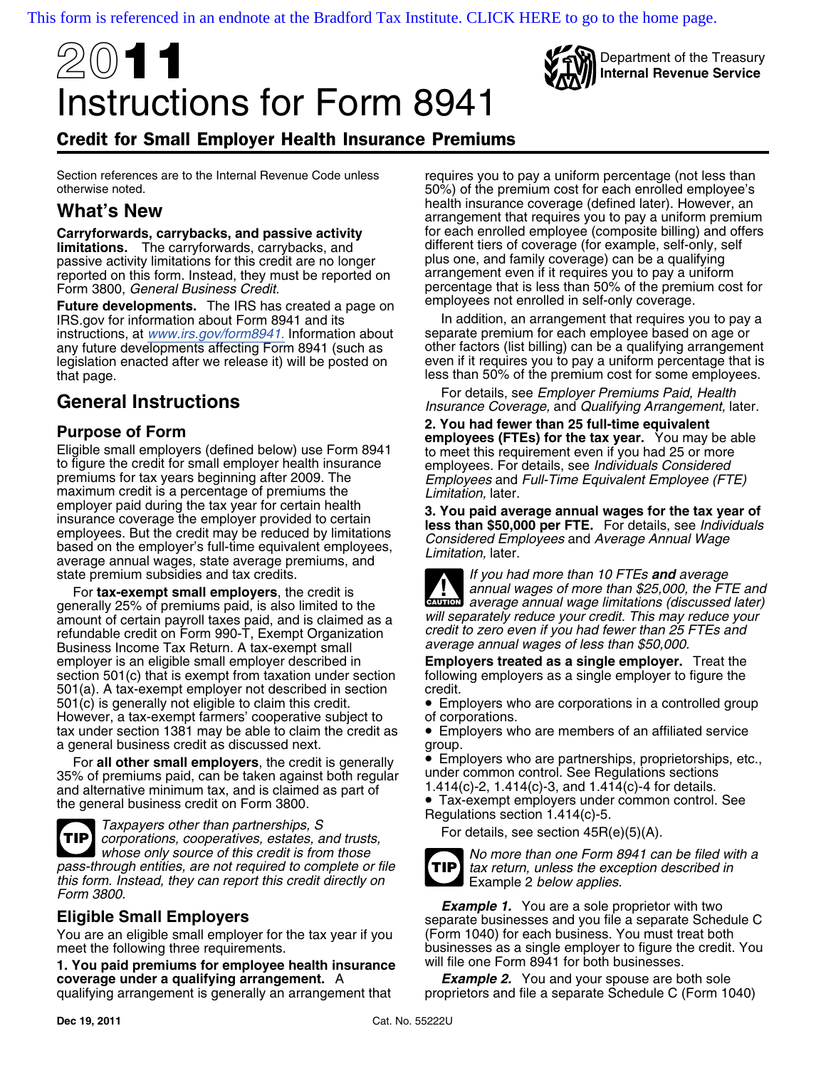

# 20**11** Instructions for Form 8941

# Credit for Small Employer Health Insurance Premiums

**Carryforwards, carrybacks, and passive activity** for each enrolled employee (composite billing) and off<br>**limitations.** The carryforwards, carrybacks, and stifferent tiers of coverage (for example, self-only, self **limitations.** The carryforwards, carrybacks, and different tiers of coverage (for example, self-only, self-only, self-only, self-only, self-only, self-only, self-only, self-only, self-only, self-only, self-only, self-only passive activity limitations for this credit are no longer plus one, and family coverage) can be a qualifying<br>reported on this form, Instead, they must be reported on arrangement even if it requires you to pay a uniform reported on this form. Instead, they must be reported on<br>Form 3800, *General Business Credit.* 

Future developments. The IRS has created a page on IRS gov for information about Form 8941 and its instructions, at *www.irs.gov/form8941*. Information about any future developments affecting Form 8941 (such as legislation enacted after we release it) will be posted on that page.

premiums for tax years beginning after 2009. The *Employees* and *Full-Time Equivalent Employee (FTE)* maximum credit is a percentage of premiums the *Limitation,* later. employer paid during the tax year for certain neath and insurance coverage the employer provided to certain<br>
insurance coverage the employer provided to certain<br>
employees. But the credit may be reduced by limitations<br>
bas

amount of certain payroll taxes paid, and is claimed as a<br>refundable credit on Form 990-T, Exempt Organization<br>Rusiness Income Tax Beturn, A tax-exempt small average annual wages of less than \$50,000. Business Income Tax Return. A tax-exempt small employer is an eligible small employer described in **Employers treated as a single employer.** Treat the section 501(c) that is exempt from taxation under section following employers as a single employer to figure the<br>501(a). A tax-exempt employer not described in section credit. 501(a). A tax-exempt employer not described in section<br>501(c) is generally not eligible to claim this credit. However, a tax-exempt farmers' cooperative subject to of corporations.<br>
tax under section 1381 may be able to claim the credit as  $\bullet$  Employers who are members of an affiliated service tax under section 1381 may be able to claim the credit as  $\bullet$  Employers a general business credit as discussed next.

For **all other small employers**, the credit is generally strandiovers who are partnerships, proprietorship<br>% of premiums paid, can be taken against both requiar strander common control. See Regulations sections 35% of premiums paid, can be taken against both regular under common control. See Regulations sections<br>and alternative minimum tax, and is claimed as part of  $1.414(c)$ -2, 1.414(c)-3, and 1.414(c)-4 for details. and alternative minimum tax, and is claimed as part of



Regulations section 1.414(c)-5. *Taxpayers other than partnerships, S* For details, see section 45R(e)(5)(A). *corporations, cooperatives, estates, and trusts, whose only source of this credit is from those No more than one Form 8941 can be filed with a pass-through entities, are not required to complete or file tax return, unless the exception described in this form. Instead, they can report this credit directly on* Example 2 *below applies. Form 3800.*

You are an eligible small employer for the tax year if you

**1. You paid premiums for employee health insurance coverage under a qualifying arrangement.** A

qualifying arrangement is generally an arrangement that

Section references are to the Internal Revenue Code unless requires you to pay a uniform percentage (not less than<br>
otherwise noted.<br>
S0%) of the premium cost for each enrolled employee's 50%) of the premium cost for each enrolled employee's health insurance coverage (defined later). However, an<br>arrangement that requires you to pay a uniform premium<br>Carryforwards, carrybacks, and passive activity for each enrolled employee (composite billing) and offers percentage that is less than 50% of the premium cost for employees not enrolled in self-only coverage.

> In addition, an arrangement that requires you to pay a separate premium for each employee based on age or other factors (list billing) can be a qualifying arrangement even if it requires you to pay a uniform percentage that is less than 50% of the premium cost for some employees.

For details, see *Employer Premiums Paid, Health* **General Instructions** *Insurance Coverage,* and *Qualifying Arrangement,* later.

**Purpose of Form**<br> **Eligible small employers (defined below) use Form 8941**<br> **Eligible small employers (defined below) use Form 8941**<br> **Eligible small employers (defined below) use Form 8941**<br> **Eligible small employers (de** 

If you had more than 10 FTEs and average For **tax-exempt small employers**, the credit is **the state of the state of the state of the state of the state of the state of the state annual wage limitations (discussed later) average annual wage limitations (discussed CAUTION** *annual wages of more than \$25,000, the FTE and*<br> *average annual wage limitations (discussed later)* 

• Employers who are corporations in a controlled group of corporations.

a general business credit as discussed next.<br>For all other small employers the credit is generally  $\bullet$  Employers who are partnerships, proprietorships, etc.,

the general business credit on Form 3800.<br>
• Tax-exempt employers under common control. See<br>
Regulations section 1.414(c)-5.



*Example 1.* You are a sole proprietor with two<br>
Separate businesses and you file a separate Schedule C<br>
You are an eligible small employer for the tax year if you (Form 1040) for each business. You must treat both meet the following three requirements.<br>1 You paid premiums for employee health insurance will file one Form 8941 for both businesses.

**Example 2.** You and your spouse are both sole proprietors and file a separate Schedule C (Form 1040)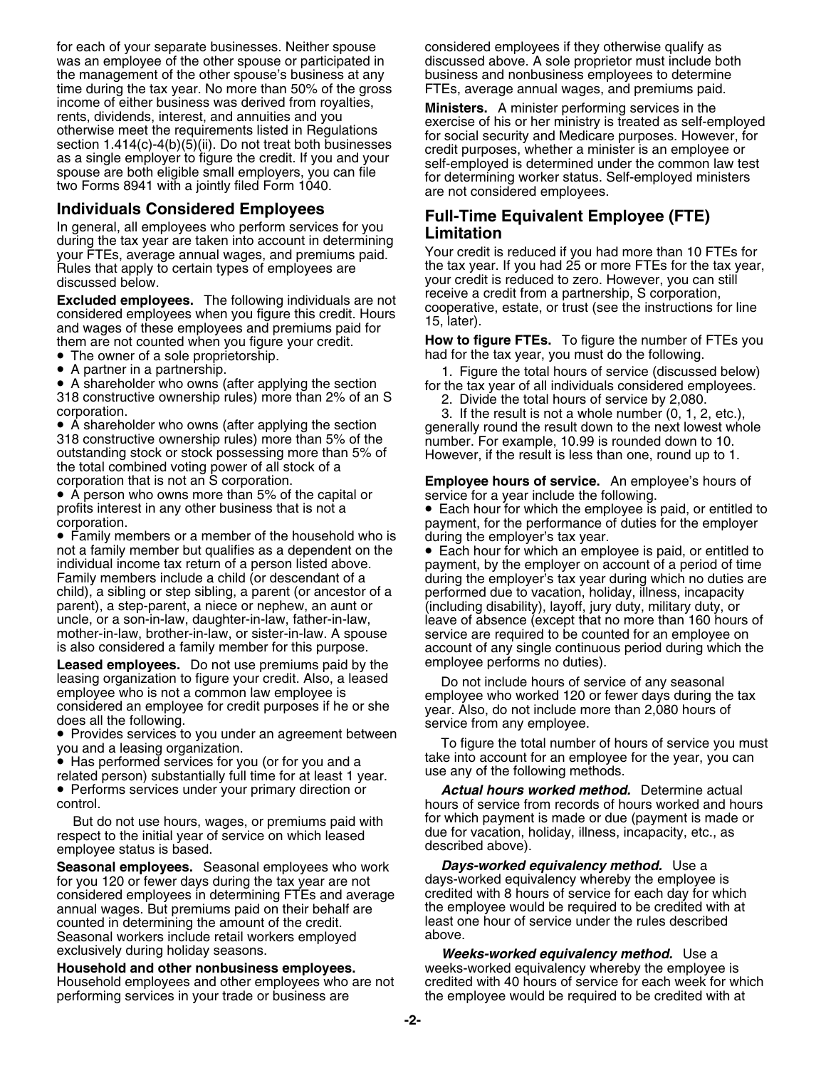for each of your separate businesses. Neither spouse considered employees if they otherwise qualify as was an employee of the other spouse or participated in discussed above. A sole proprietor must include both the management of the other spouse's business at any business and nonbusiness employees to determine<br>time during the tax year. No more than 50% of the gross FTEs, average annual wages, and premiums paid. time during the tax year. No more than 50% of the gross

your FTEs, average annual wages, and premiums paid. Your credit is reduced if you had more than 10 FTEs for

**Excluded employees.** The following individuals are not<br>considered employees when you figure this credit. Hours<br>and wages of these employees and premiums paid for displaced by the state, or trust (see the instructions for them are not counted when you figure your credit. **How to figure FTEs.** To figure the number of FTEs you

- The owner of a sole proprietorship.
- A partner in a partnership.

• A shareholder who owns (after applying the section • A shareholder who owns (after applying the section for the tax year of all individuals considered employees.<br>318 constructive ownership rules) more than 2% of an S 2. Divide the total hours of service by 2,080.<br>3. If the

• A shareholder who owns (after applying the section • A shareholder who owns (after applying the section<br>318 constructive ownership rules) more than 5% of the number. For example, 10.99 is rounded down to 10.<br>outstanding stock or stock possessing more than 5% of However, if

 $\bullet$  A person who owns more than 5% of the capital or service for a year include the following.

• Family members or a member of the household who is and during the employer's tax year. individual income tax return of a person listed above. earch payment, by the employer on account of a period of time<br>Family members include a child (or descendant of a same all aning the employer's tax year during which no child), a sibling or step sibling, a parent (or ancestor of a performed due to vacation, holiday, illness, incapacity parent), a step-parent, a niece or nephew, an aunt or (including disability), layoff, jury duty, militar parent), a step-parent, a niece or nephew, an aunt or expressionaling disability), layoff, jury duty, military duty, or<br>uncle, or a son-in-law, daughter-in-law, father-in-law, expression basence (except that no more than 1 mother-in-law, brother-in-law, or sister-in-law. A spouse service are required to be counted for an employee on

**Leased employees.** Do not use premiums paid by the employee performs no duties).

• Provides services to you under an agreement between

rice performed services for you (or for you allocated a use any of the following methods.

respect to the initial year of service on which leased and the for vacation, respect to the initial year of service on which leased employee status is based.

**Seasonal employees.** Seasonal employees who work *Days-worked equivalency method.* Use a for you 120 or fewer days during the tax year are not days-worked equivalency whereby the employee is<br>considered employees in determining FTEs and average credited with 8 hours of service for each day for which considered employees in determining FTEs and average credited with 8 hours of service for each day for which annual wages. But premiums paid on their behalf are the employee would be required to be credited with counted in determining the amount of the credit. counted in determining the amount of the credit. least one hour of service under the service under the rules de<br>Seasonal workers include retail workers employed Seasonal workers include retail workers employed exclusively during holiday seasons. *Weeks-worked equivalency method.* Use a

**Household and other nonbusiness employees.** weeks-worked equivalency whereby the employee is performing services in your trade or business are the employee would be required to be credited with at

income of either business was derived from royalties,<br>
rents, dividends, interest, and annuities and you<br>
otherwise meet the requirements listed in Regulations<br>
section 1.414(c)-4(b)(5)(ii). Do not treat both businesses<br>
a

# **Individuals Considered Employees**<br>
In general, all employees who perform services for you<br> **Limitation**<br> **Limitation**<br> **Limitation**

Rules that apply to certain types of employees are the tax year. If you had 25 or more FTEs for the tax year, discussed below.<br>
Excluded omployees The following individuals are not receive a credit from a partnership, S corporation,

had for the tax year, you must do the following.

1. Figure the total hours of service (discussed below)

**Employee hours of service.** An employee's hours of service for a year include the following.

profits interest in any other business that is not a • Each hour for which the employee is paid, or entitled to corporation. payment, for the performance of duties for the employer

not a family member but qualifies as a dependent on the • Each hour for which an employee is paid, or entitled to individual income tax return of a person listed above. during the employer's tax year during which no duties are leave of absence (except that no more than 160 hours of is also considered a family member for this purpose. account of any single continuous period during which the

leasing organization to figure your credit. Also, a leased<br>
employee who is not a common law employee is<br>
considered an employee for credit purposes if he or she<br>
does all the following.<br>
does all the following.<br>
does all

Provides services to you under an agreement between To figure the total number of hours of service you must<br>● Has performed services for you (or for you and a between the year, you can • take into account for an employee

• Performs services under your primary direction or *Actual hours worked method.* Determine actual control. hours of service from records of hours worked and hours But do not use hours, wages, or premiums paid with for which payment is made or due (payment is made or due for<br>spect to the initial vear of service on which leased due for vacation, holiday, illness, incapacity, etc., as

Household employees and other employees who are not credited with 40 hours of service for each week for which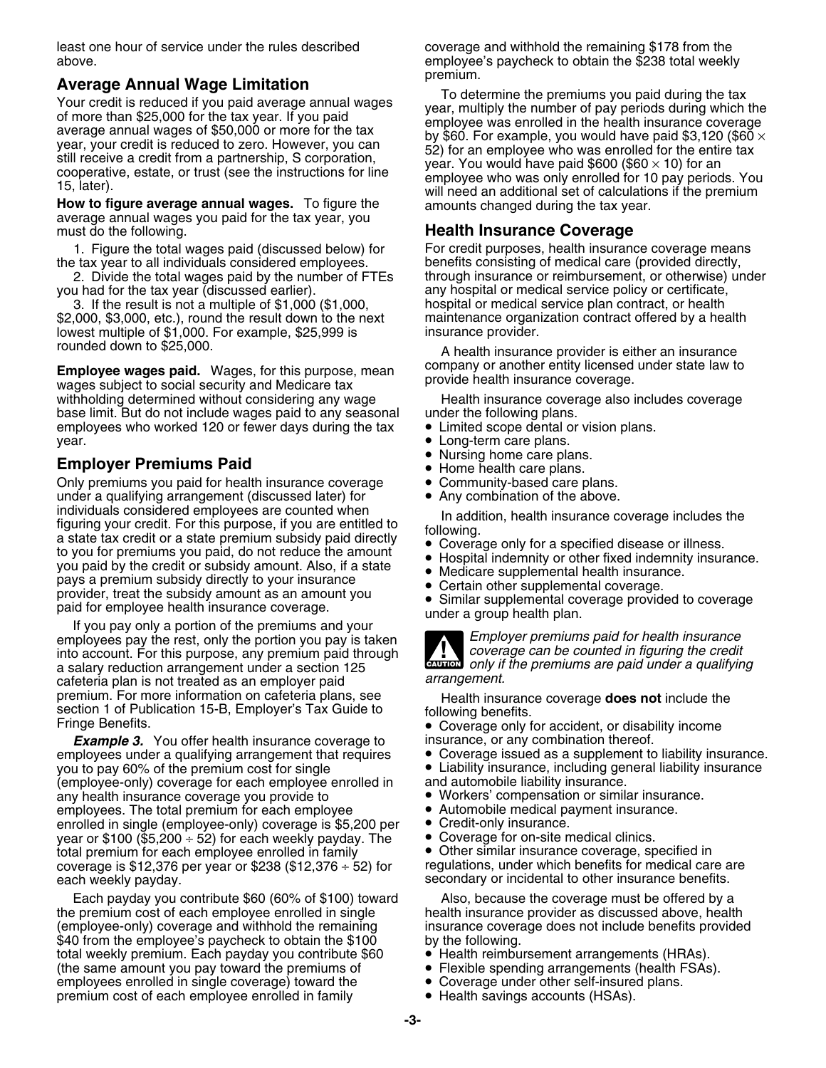average annual wages you paid for the tax year, you<br> **Health Insurance Coverage**<br> **Health Insurance Coverage** 

the tax year to all individuals considered employees. benefits consisting of medical care (provided directly,

you had for the tax year (discussed earlier). any hospital or medical service policy or certificate,

3. If the result is not a multiple of \$1,000 (\$1,000, hospital or medical service plan contract, or health \$2,000, \$3,000, etc.), round the result down to the next maintenance organization contract offered by a health lowest multiple of \$1,000. For example, \$25,999 is insurance provider. lowest multiple of  $$1,000$ . For example,  $$25,999$  is rounded down to \$25,000.

**Employee wages paid.** Wages, for this purpose, mean company or another entity licensed under state law to wages subject to social security and Medicare tax **provide health insurance coverage.**<br>Withholding determined witho withholding determined without considering any wage Health insurance cover<br>base limit. But do not include wages paid to any seasonal under the following plans. base limit. But do not include wages paid to any seasonal employees who worked 120 or fewer days during the tax  $\bullet$  Limited scope dental or vision plans. year. • Vear. • Vear and the state plans. • Long-term care plans.

# **Employer Premiums Paid** • Nursing home care plans.

Only premiums you paid for health insurance coverage • Community-based care plans. under a qualifying arrangement (discussed later) for **•** Any combination of the above. in addition, health insurance coverage includes the<br>figuring your credit. For this purpose, if you are entitled to<br>a state tax credit or a state premium subsidy paid directly<br>• Coverage only for a specified disease or illn to you for premiums you paid, do not reduce the amount • Coverage only for a specified disease or illness. you paid by the credit or subsidy amount. Also, if a state  $\bullet$  Medicare supplemental health insurance. pays a premium subsidy directly to your insurance • exercise • Certain other supplemental coverage. provider, treat the subsidy amount as an amount you  $\bullet$  paid for employee health insurance coverage.

employees pay the rest, only the portion you pay is taken *Employer premiums paid for health insurance into account. For this purpose, any premium paid through* a salary reduction arrangement under a section 125 cafeteria plan is not treated as an employer paid *arrangement.* premium. For more information on cafeteria plans, see Health insurance coverage **does not** include the section 1 of Publication 15-B, Employer's Tax Guide to following benefits.<br>
Fringe Benefits. • Coverage only for accident, or disability income<br> **Example 3.** You offer health insurance coverage to insurance, or any combina

**Example 3.** You offer health insurance coverage to insurance, or any combination thereof.<br>iplovees under a qualifying arrangement that requires **•** Coverage issued as a supplement to liability insurance. employees under a qualifying arrangement that requires • Coverage issued as a supplement to liability insurance<br>vou to pay 60% of the premium cost for single value of Liability insurance, including general liability insura you to pay 60% of the premium cost for single (employee-only) coverage for each employee enrolled in and automobile liability insurance. any health insurance coverage you provide to **• •** Workers' compensation or similar insurance.<br>• Automobile medical payment insurance. employees. The total premium for each employee  $\bullet$ enrolled in single (employee-only) coverage is \$5,200 per • Credit-only insurance.<br>year or \$100 (\$5,200 ÷ 52) for each weekly payday. The • Coverage for on-site medical clinics. year or \$100 (\$5,200 ÷ 52) for each weekly payday. The  $\bullet$  Coverage for on-site medical clinics.<br>
total premium for each employee enrolled in family  $\bullet$  Other similar insurance coverage, specified in total premium for each employee enrolled in family **•** Other similar insurance coverage, specified in<br>coverage is \$12,376 per year or \$238 (\$12,376 ÷ 52) for egulations, under which benefits for medical care are coverage is \$12,376 per year or \$238 (\$12,376  $\div$  52) for each weekly payday. secondary or incidental to other insurance benefits.

Each payday you contribute \$60 (60% of \$100) toward Also, because the coverage must be offered by a the premium cost of each employee enrolled in single health insurance provider as discussed above, health (employee-only) coverage and withhold the remaining insurance coverage does not include benefits provided<br>\$40 from the employee's paycheck to obtain the \$100 by the following. \$40 from the employee's paycheck to obtain the \$100 by the following.<br>total weekly premium. Each payday you contribute \$60 • Health reimbursement arrangements (HRAs). total weekly premium. Each payday you contribute \$60 (the same amount you pay toward the premiums of  $\bullet$  Flexible spending arrangements (health FSAs).<br>
employees enrolled in single coverage) toward the  $\bullet$  Coverage under other self-insured plans. employees enrolled in single coverage) toward the  $\bullet$ premium cost of each employee enrolled in family • Health savings accounts (HSAs).

least one hour of service under the rules described coverage and withhold the remaining \$178 from the above. employee's paycheck to obtain the \$238 total weekly

**Average Annual Wage Limitation**<br>
Your credit is reduced if you paid average annual wages<br>
of more than \$25,000 for the tax year. If you paid<br>
average annual wages of \$50,000 or more for the tax<br>
year, multiply the number

1. Figure the total wages paid (discussed below) for For credit purposes, health insurance coverage means 2. Divide the total wages paid by the number of FTEs through insurance or reimbursement, or otherwise) under

- 
- 
- •
- Home health care plans.
- 
- 

- 
- 
- 
- 

Similar supplemental coverage provided to coverage id for employee health insurance coverage.<br>If you pay only a portion of the premiums and your under a group health plan.<br>If you pay only a portion of the premiums and your

**ALUTION** *only if the premiums are paid under a qualifying*

- 
- 
- 
- 
- 
- 
- 

- 
- 
- 
-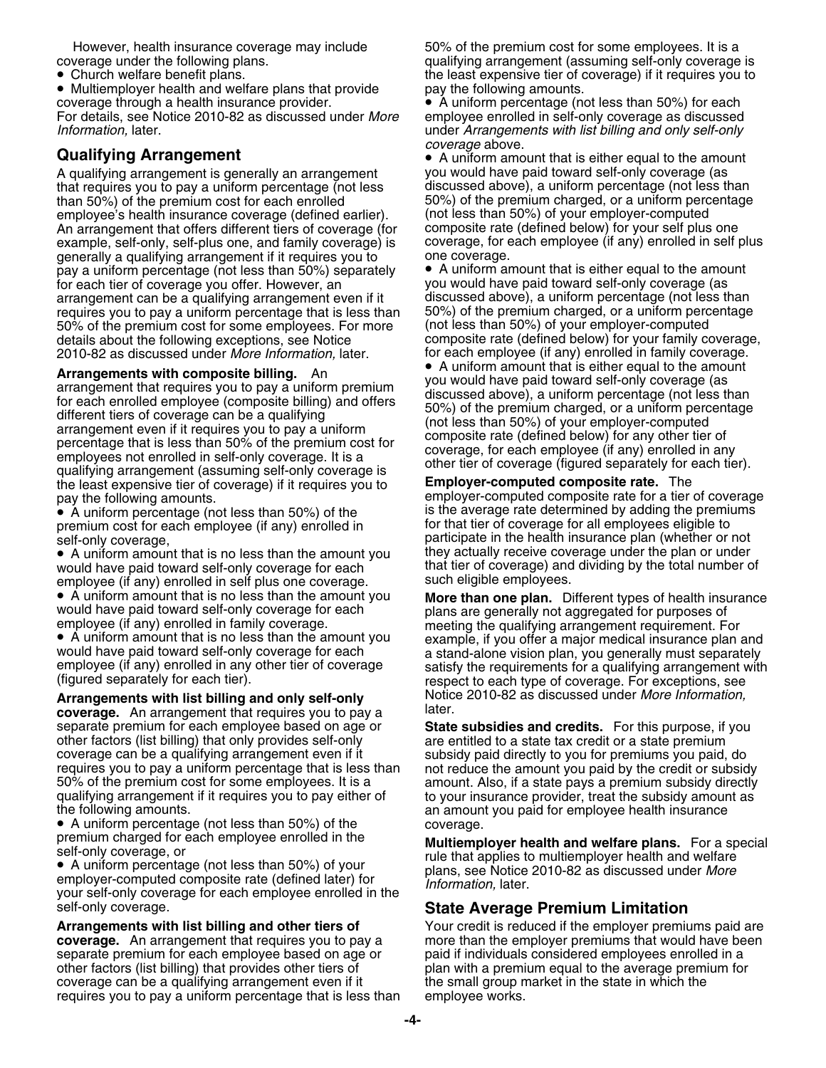• Church welfare benefit plans.

• Multiemployer health and welfare plans that provide pay the following amounts. coverage through a health insurance provider. • A uniform percentage (not less than 50%) for each For details, see Notice 2010-82 as discussed under *More* employee enrolled in self-only coverage as discussed

A qualifying arrangement is generally an arrangement you would have paid toward self-only coverage (as that requires you to pay a uniform percentage (not less discussed above), a uniform percentage (not less than than 50%) of the premium cost for each enrolled 50%) of the premium charged, or a uniform percentage<br>employee's health insurance coverage (defined earlier). (not less than 50%) of your employer-computed employee's health insurance coverage (defined earlier). (not less than 50%) of your employer-computed<br>An arrangement that offers different tiers of coverage (for composite rate (defined below) for your self plus one An arrangement that offers different tiers of coverage (for composite rate (defined below) for your self plus one<br>example, self-only, self-plus one, and family coverage) is coverage, for each employee (if any) enrolled in example, self-only, self-plus one, and family coverage) is generally a qualifying arrangement if it requires you to one coverage.<br>
pay a uniform percentage (not less than 50%) separately  $\bullet$  A uniform amount that is either equal to the amount pay a uniform percentage (not less than 50%) separately  $\qquad \bullet$  A uniform amount that is either equal to the amount for each tier of coverage (as for each tier of coverage you offer. However, an arrangement can be a qualifying arrangement even if it discussed above), a uniform percentage (not less than requires you to pay a uniform percentage that is less than 50%) of the premium charged, or a uniform percentage<br>50% of the premium cost for some employees. For more (not less than 50%) of your employer-computed 50% of the premium cost for some employees. For more details about the following exceptions, see Notice composite rate (defined below) for your family coverage, 2010-82 as discussed under *More Information,* later. for each employee (if any) enrolled in family coverage.

the least expensive tier of coverage) if it requires you to **Employer-computed composite rate.** The

premium cost for each employee (if any) enrolled in for that tier of coverage for all employees eligible to

• A uniform amount that is no less than the amount you they actually receive coverage under the plan or under employee (if any) enrolled in self plus one coverage.

• A uniform amount that is no less than the amount you

• A uniform amount that is no less than the amount you

**coverage.** An arrangement that requires you to pay a separate premium for each employee based on age or **State subsidies and credits.** For this purpose, if you other factors (list billing) that only provides self-only are entitled to a state tax credit or a state premium other factors (list billing) that only provides self-only coverage can be a qualifying arrangement even if it requires you to pay a uniform percentage that is less than not reduce the amount you paid by the credit or subsidy 50% of the premium cost for some employees. It is a amount. Also, if a state pays a premium subsidy directly qualifying arrangement if it requires you to pay either of to your insurance provider, treat the subsidy amount as the following amounts. an amount you paid for employee health insurance

 $\bullet\,$  A uniform percentage (not less than 50%) of the  $\hskip1cm$  coverage.

employer-computed composite rate (defined later) for the information, later.<br>your self-only coverage for each employee enrolled in the self-only coverage. **State Average Premium Limitation**

**Arrangements with list billing and other tiers of** Your credit is reduced if the employer premiums paid are **coverage.** An arrangement that requires you to pay a more than the employer premiums that would have been separate premium for each employee based on age or other factors (list billing) that provides other tiers of plan with a premium equal to the average premium for coverage can be a qualifying arrangement even if it the small group market in the state in which the requires you to pay a uniform percentage that is less than employee works.

However, health insurance coverage may include 50% of the premium cost for some employees. It is a coverage under the following plans. qualifying arrangement (assuming self-only coverage is the least expensive tier of coverage) if it requires you to

*Information,* later. under *Arrangements with list billing and only self-only*

**Qualifying Arrangement**<br>
• A uniform amount that is either equal to the amount **Qualifying Arrangement** 

• A uniform amount that is either equal to the amount **Arrangements with composite billing.** An<br>
arrangement that requires you to pay a uniform premium<br>
for each enrolled employee (composite billing) and offers<br>
different tiers of coverage can be a qualifying<br>
arrangement eve

pay the following amounts.<br>• A uniform percentage (not less than 50%) of the is the average rate determined by adding the premiums • A uniform percentage (not less than 50%) of the is the average rate determined by adding the premiums self-only coverage,<br>• A uniform amount that is no less than the amount you they actually receive coverage under the plan or under would have paid toward self-only coverage for each that tier of coverage) and dividing by the total number of employees.

• A uniform amount that is no less than the amount you **More than one plan.** Different types of health insurance would have paid toward self-only coverage for each plans are generally not aggregated for purposes of employe • A uniform amount that is no less than the amount you example, if you offer a major medical insurance plan and would have paid toward self-only coverage for each a stand-alone vision plan, you generally must separately em **Arrangements with list billing and only self-only** Notice 2010-82 as discussed under *More Information*,

subsidy paid directly to you for premiums you paid, do

premium charged for each employee enrolled in the **Multiemployer health and welfare plans.** For a special self-only coverage, or **rule that applies to multiemployer health and welfare**<br>
• A uniform percentage (not less tha

more than the employer premiums that would have been paid if individuals considered employees enrolled in a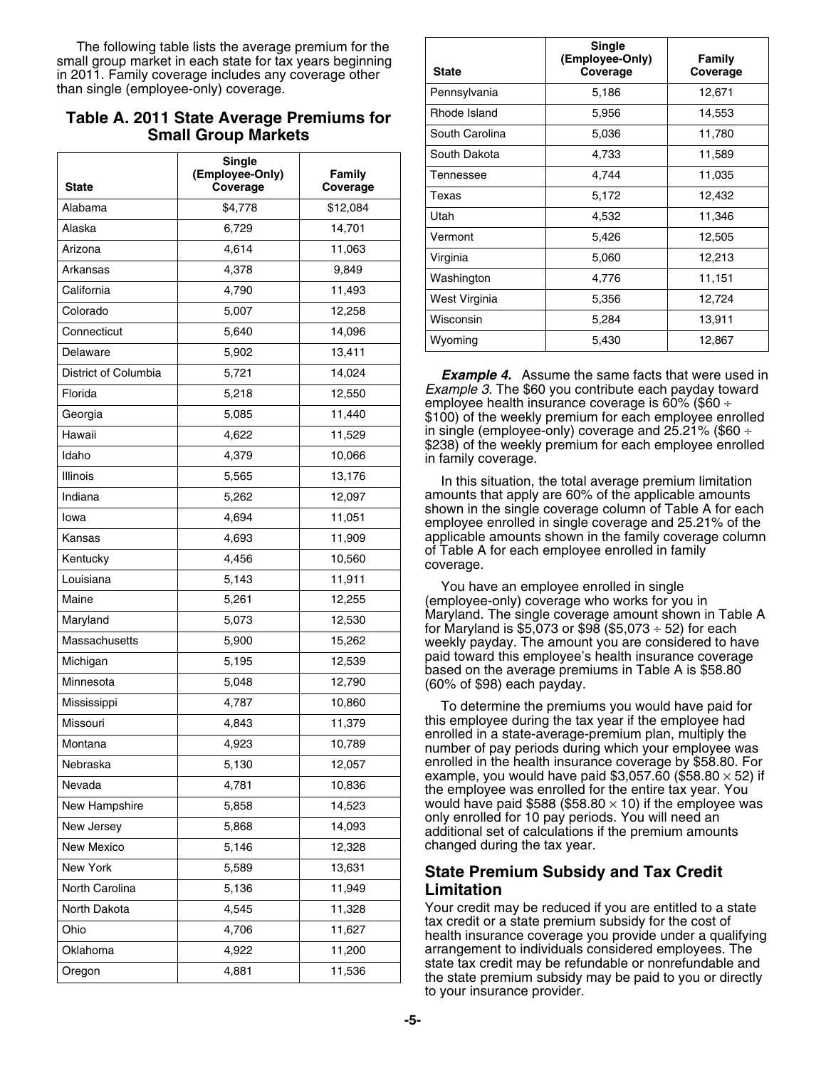The following table lists the average premium for the small group market in each state for tax years beginning **in 2011. Family coverage includes any coverage other** than single (employee-only) coverage.

|                      | Single          |               |                                                                                                                                                                                                                                                                                    |                                                                                                                   | . . ,ooo |
|----------------------|-----------------|---------------|------------------------------------------------------------------------------------------------------------------------------------------------------------------------------------------------------------------------------------------------------------------------------------|-------------------------------------------------------------------------------------------------------------------|----------|
|                      | (Employee-Only) | <b>Family</b> | Tennessee                                                                                                                                                                                                                                                                          | 4,744                                                                                                             | 11,035   |
| <b>State</b>         | Coverage        | Coverage      | Texas                                                                                                                                                                                                                                                                              | 5,172                                                                                                             | 12,432   |
| Alabama              | \$4,778         | \$12,084      | Utah                                                                                                                                                                                                                                                                               | 4,532                                                                                                             | 11,346   |
| Alaska               | 6,729           | 14,701        | Vermont                                                                                                                                                                                                                                                                            | 5,426                                                                                                             | 12,505   |
| Arizona              | 4,614           | 11,063        | Virginia                                                                                                                                                                                                                                                                           | 5,060                                                                                                             | 12,213   |
| Arkansas             | 4,378           | 9,849         | Washington                                                                                                                                                                                                                                                                         | 4,776                                                                                                             | 11,151   |
| California           | 4,790           | 11,493        | West Virginia                                                                                                                                                                                                                                                                      | 5,356                                                                                                             | 12,724   |
| Colorado             | 5,007           | 12,258        | Wisconsin                                                                                                                                                                                                                                                                          | 5,284                                                                                                             | 13,911   |
| Connecticut          | 5,640           | 14,096        | Wyoming                                                                                                                                                                                                                                                                            | 5,430                                                                                                             | 12,867   |
| Delaware             | 5,902           | 13,411        |                                                                                                                                                                                                                                                                                    |                                                                                                                   |          |
| District of Columbia | 5,721           | 14,024        |                                                                                                                                                                                                                                                                                    | <b>Example 4.</b> Assume the same facts that were u                                                               |          |
| Florida              | 5,218           | 12,550        | Example 3. The \$60 you contribute each payday to<br>employee health insurance coverage is $60\%$ (\$60 ÷                                                                                                                                                                          |                                                                                                                   |          |
| Georgia              | 5,085           | 11,440        |                                                                                                                                                                                                                                                                                    | \$100) of the weekly premium for each employee en                                                                 |          |
| Hawaii               | 4,622           | 11,529        | in single (employee-only) coverage and 25.21% (\$6<br>\$238) of the weekly premium for each employee en<br>in family coverage.                                                                                                                                                     |                                                                                                                   |          |
| Idaho                | 4,379           | 10,066        |                                                                                                                                                                                                                                                                                    |                                                                                                                   |          |
| Illinois             | 5,565           | 13,176        |                                                                                                                                                                                                                                                                                    | In this situation, the total average premium limitat                                                              |          |
| Indiana              | 5,262           | 12,097        | amounts that apply are 60% of the applicable amou<br>shown in the single coverage column of Table A for<br>employee enrolled in single coverage and 25.21% o<br>applicable amounts shown in the family coverage co<br>of Table A for each employee enrolled in family<br>coverage. |                                                                                                                   |          |
| lowa                 | 4,694           | 11,051        |                                                                                                                                                                                                                                                                                    |                                                                                                                   |          |
| Kansas               | 4,693           | 11,909        |                                                                                                                                                                                                                                                                                    |                                                                                                                   |          |
| Kentucky             | 4,456           | 10,560        |                                                                                                                                                                                                                                                                                    |                                                                                                                   |          |
| Louisiana            | 5,143           | 11,911        |                                                                                                                                                                                                                                                                                    | You have an employee enrolled in single                                                                           |          |
| Maine                | 5,261           | 12,255        |                                                                                                                                                                                                                                                                                    | (employee-only) coverage who works for you in                                                                     |          |
| Maryland             | 5,073           | 12,530        |                                                                                                                                                                                                                                                                                    | Maryland. The single coverage amount shown in Ta<br>for Maryland is \$5,073 or \$98 (\$5,073 $\div$ 52) for each  |          |
| Massachusetts        | 5,900           | 15,262        |                                                                                                                                                                                                                                                                                    | weekly payday. The amount you are considered to I                                                                 |          |
| Michigan             | 5,195           | 12,539        |                                                                                                                                                                                                                                                                                    | paid toward this employee's health insurance covera<br>based on the average premiums in Table A is \$58.8         |          |
| Minnesota            | 5,048           | 12,790        | (60% of \$98) each payday.                                                                                                                                                                                                                                                         |                                                                                                                   |          |
| Mississippi          | 4,787           | 10,860        |                                                                                                                                                                                                                                                                                    | To determine the premiums you would have paid                                                                     |          |
| Missouri             | 4,843           | 11,379        |                                                                                                                                                                                                                                                                                    | this employee during the tax year if the employee ha                                                              |          |
| Montana              | 4,923           | 10,789        |                                                                                                                                                                                                                                                                                    | enrolled in a state-average-premium plan, multiply t<br>number of pay periods during which your employee          |          |
| Nebraska             | 5,130           | 12,057        |                                                                                                                                                                                                                                                                                    | enrolled in the health insurance coverage by \$58.80                                                              |          |
| Nevada               | 4,781           | 10,836        |                                                                                                                                                                                                                                                                                    | example, you would have paid \$3,057.60 (\$58.80 $\times$<br>the employee was enrolled for the entire tax year. Y |          |
| New Hampshire        | 5,858           | 14,523        |                                                                                                                                                                                                                                                                                    | would have paid \$588 (\$58.80 $\times$ 10) if the employee                                                       |          |
| New Jersey           | 5,868           | 14,093        | only enrolled for 10 pay periods. You will need an<br>additional set of calculations if the premium amount                                                                                                                                                                         |                                                                                                                   |          |
| New Mexico           | 5,146           | 12,328        | changed during the tax year.                                                                                                                                                                                                                                                       |                                                                                                                   |          |
| New York             | 5,589           | 13,631        |                                                                                                                                                                                                                                                                                    | <b>State Premium Subsidy and Tax Credit</b>                                                                       |          |
| North Carolina       | 5,136           | 11,949        | Limitation                                                                                                                                                                                                                                                                         |                                                                                                                   |          |
| North Dakota         | 4,545           | 11,328        |                                                                                                                                                                                                                                                                                    | Your credit may be reduced if you are entitled to a s                                                             |          |
| Ohio                 | 4,706           | 11,627        |                                                                                                                                                                                                                                                                                    | tax credit or a state premium subsidy for the cost of<br>health insurance coverage you provide under a qua        |          |
| Oklahoma             | 4,922           | 11,200        |                                                                                                                                                                                                                                                                                    | arrangement to individuals considered employees.                                                                  |          |
| Oregon               | 4,881           | 11,536        |                                                                                                                                                                                                                                                                                    | state tax credit may be refundable or nonrefundable                                                               |          |

### **Table A. 2011 State Average Premiums for Small Group Markets**

| lists the average premium for the<br>each state for tax years beginning<br>ge includes any coverage other<br>only) coverage.<br>ate Average Premiums for<br><b>Group Markets</b> |          | <b>State</b>     | <b>Single</b><br>(Employee-Only)<br>Coverage | Family<br>Coverage |
|----------------------------------------------------------------------------------------------------------------------------------------------------------------------------------|----------|------------------|----------------------------------------------|--------------------|
|                                                                                                                                                                                  |          | Pennsylvania     | 5,186                                        | 12,671             |
|                                                                                                                                                                                  |          | Rhode Island     | 5,956                                        | 14,553             |
|                                                                                                                                                                                  |          | South Carolina   | 5,036                                        | 11,780             |
| <b>Single</b>                                                                                                                                                                    |          | South Dakota     | 4,733                                        | 11,589             |
| (Employee-Only)                                                                                                                                                                  | Family   | Tennessee        | 4,744                                        | 11,035             |
| Coverage                                                                                                                                                                         | Coverage | Texas            | 5,172                                        | 12,432             |
| \$4,778                                                                                                                                                                          | \$12,084 | Utah             | 4,532                                        | 11,346             |
| 6,729                                                                                                                                                                            | 14,701   | Vermont          | 5,426                                        | 12,505             |
| 4,614                                                                                                                                                                            | 11,063   | Virginia         | 5,060                                        | 12,213             |
| 4,378                                                                                                                                                                            | 9,849    |                  |                                              | 11,151             |
| 4,790                                                                                                                                                                            | 11,493   | Washington       | 4,776                                        |                    |
| 5,007                                                                                                                                                                            | 12,258   | West Virginia    | 5,356                                        | 12,724             |
|                                                                                                                                                                                  |          | <b>Wisconsin</b> | 5,284                                        | 13,911             |
| 5,640                                                                                                                                                                            | 14,096   | Wyoming          | 5,430                                        | 12,867             |
|                                                                                                                                                                                  |          |                  |                                              |                    |

**Example 4.** Assume the same facts that were used in *Example 3.* The \$60 you contribute each payday toward employee health insurance coverage is 60% (\$60 ÷ \$100) of the weekly premium for each employee enrolled in single (employee-only) coverage and 25.21% (\$60  $\div$ \$238) of the weekly premium for each employee enrolled in family coverage.

In this situation, the total average premium limitation amounts that apply are 60% of the applicable amounts shown in the single coverage column of Table A for each employee enrolled in single coverage and 25.21% of the applicable amounts shown in the family coverage column of Table A for each employee enrolled in family coverage.

You have an employee enrolled in single (employee-only) coverage who works for you in<br>Maryland. The single coverage amount shown in Table A for Maryland is \$5,073 or \$98 (\$5,073  $\div$  52) for each weekly payday. The amount you are considered to have paid toward this employee's health insurance coverage based on the average premiums in Table A is \$58.80  $(60\% \text{ of } $98)$  each payday.

To determine the premiums you would have paid for this employee during the tax year if the employee had enrolled in a state-average-premium plan, multiply the number of pay periods during which your employee was enrolled in the health insurance coverage by \$58.80. For example, you would have paid \$3,057.60 (\$58.80  $\times$  52) if the employee was enrolled for the entire tax year. You would have paid \$588 (\$58.80  $\times$  10) if the employee was only enrolled for 10 pay periods. You will need an additional set of calculations if the premium amounts changed during the tax year.

## **State Premium Subsidy and Tax Credit Limitation**

Your credit may be reduced if you are entitled to a state tax credit or a state premium subsidy for the cost of<br>health insurance coverage you provide under a qualifying arrangement to individuals considered employees. The state tax credit may be refundable or nonrefundable and the state premium subsidy may be paid to you or directly to your insurance provider.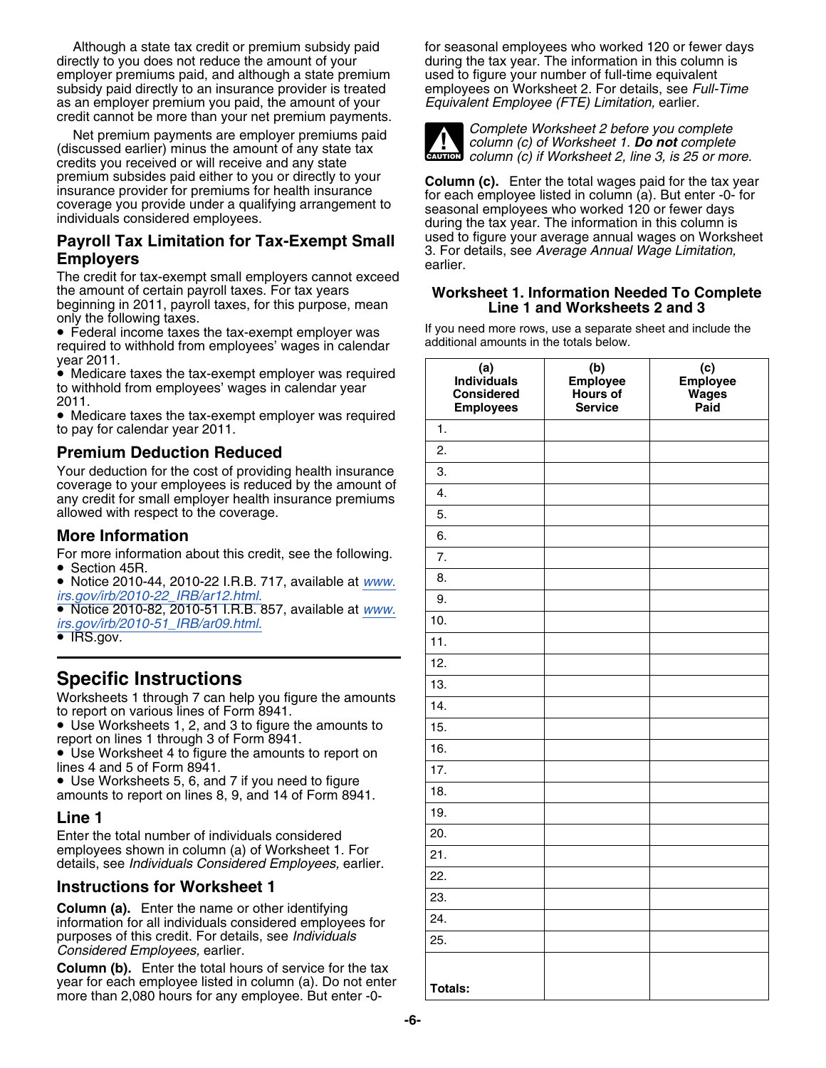directly to you does not reduce the amount of your during the tax year. The information in this column is<br>employer premiums paid, and although a state premium used to figure your number of full-time equivalent employer premiums paid, and although a state premium used to figure your number of full-time equivalent subsidy paid directly to an insurance provider is treated employees on Worksheet 2. For details, see Full-Time subsidy paid directly to an insurance provider is treated employees on Worksheet 2. For details, see *Files* as an employer premium you paid, the amount of your *Equivalent Employee (FTE) Limitation*, earlier. as an employer premium you paid, the amount of your

credit cannot be more than your net premium payments.<br>Net premium payments are employer premiums paid<br>(discussed earlier) minus the amount of any state tax<br>(discussed earlier) minus the amount of any state tax credits you received or will receive and any state

The credit for tax-exempt small employers cannot exceed the amount of certain payroll taxes. For tax years **Worksheet 1. Information Needed To Complete** beginning in 2011, payroll taxes, for this purpose, mean **Line 1 and Worksheets 2 and 3**

required to withhold from employees' wages in calendar

year 2011.<br>• Medicare taxes the tax-exempt employer was required to withhold from employees' wages in calendar year<br>2011.

 Medicare taxes the tax-exempt employer was required to pay for calendar year 2011.

# **Premium Deduction Reduced**

Your deduction for the cost of providing health insurance coverage to your employees is reduced by the amount of any credit for small employer health insurance premiums allowed with respect to the coverage.

### **More Information**

For more information about this credit, see the following. • Section 45R.

8. • Notice 2010-44, 2010-22 I.R.B. 717, available at *[www.](http://www.irs.gov/irb/2010-22_IRB/ar12.html) [irs.gov/irb/2010-22](http://www.irs.gov/irb/2010-22_IRB/ar12.html)\_[IRB/ar12.html.](http://www.irs.gov/irb/2010-22_IRB/ar12.html)* 9.

• Notice 2010-82, 2010-51 I.R.B. 857, available at *[www.](www.irs.gov/irb/2010-51_IRB/ar09.html)* 10. *[irs.gov/irb/2010-51\\_IRB/ar09.html.](www.irs.gov/irb/2010-51_IRB/ar09.html)*

• IRS.gov.  $\sqrt{11}$ .

# **Specific Instructions**

Worksheets 1 through 7 can help you figure the amounts to report on various lines of Form 8941.

• Use Worksheets 1, 2, and 3 to figure the amounts to  $1$  15. report on lines 1 through 3 of Form 8941.

 Use Worksheet 4 to figure the amounts to report on lines  $4$  and  $5$  of Form 8941.

• Use Worksheets 5, 6, and 7 if you need to figure amounts to report on lines 8, 9, and 14 of Form 8941.

### 19. **Line 1**

Enter the total number of individuals considered employees shown in column (a) of Worksheet 1. For 21. details, see *Individuals Considered Employees,* earlier.

### **Instructions for Worksheet 1**

**Column (a).** Enter the name or other identifying information for all individuals considered employees for purposes of this credit. For details, see *Individuals* 25. *Considered Employees,* earlier.

**Column (b).** Enter the total hours of service for the tax year for each employee listed in column (a). Do not enter more than 2,080 hours for any employee. But enter -0-

Although a state tax credit or premium subsidy paid for seasonal employees who worked 120 or fewer days

**CAUTION !**

*column (c) if Worksheet 2, line 3, is 25 or more.*

premium subsides paid either to you or directly to your<br>insurance provider for premiums for health insurance<br>coverage you provide under a qualifying arrangement to<br>individuals considered employees.<br>during the tax year. The used to figure your average annual wages on Worksheet **Payroll Tax Limitation for Tax-Exempt Small** 3. For details, see *Average Annual Wage Limitation,* **Employers** earlier.

only the following taxes.<br>
• Federal income taxes the tax-exempt employer was If you need more rows, use a separate sheet and include the<br>
required to withhold from employees' wages in calendar additional amounts in the to

| (a)<br><b>Individuals</b><br><b>Considered</b><br><b>Employees</b> | (b)<br>Employee<br>Hours of<br><b>Service</b> | (c)<br>Employee<br>Wages<br>Paid |
|--------------------------------------------------------------------|-----------------------------------------------|----------------------------------|
| 1.                                                                 |                                               |                                  |
| 2.                                                                 |                                               |                                  |
| 3.                                                                 |                                               |                                  |
| 4.                                                                 |                                               |                                  |
| 5.                                                                 |                                               |                                  |
| 6.                                                                 |                                               |                                  |
| 7.                                                                 |                                               |                                  |
| 8.                                                                 |                                               |                                  |
| 9.                                                                 |                                               |                                  |
| 10.                                                                |                                               |                                  |
| 11.                                                                |                                               |                                  |
| 12.                                                                |                                               |                                  |
| 13.                                                                |                                               |                                  |
| 14.                                                                |                                               |                                  |
| 15.                                                                |                                               |                                  |
| 16.                                                                |                                               |                                  |
| 17.                                                                |                                               |                                  |
| 18.                                                                |                                               |                                  |
| 19.                                                                |                                               |                                  |
| 20.                                                                |                                               |                                  |
| 21.                                                                |                                               |                                  |
| 22.                                                                |                                               |                                  |
| 23.                                                                |                                               |                                  |
| 24.                                                                |                                               |                                  |
| 25.                                                                |                                               |                                  |
|                                                                    |                                               |                                  |
| <b>Totals:</b>                                                     |                                               |                                  |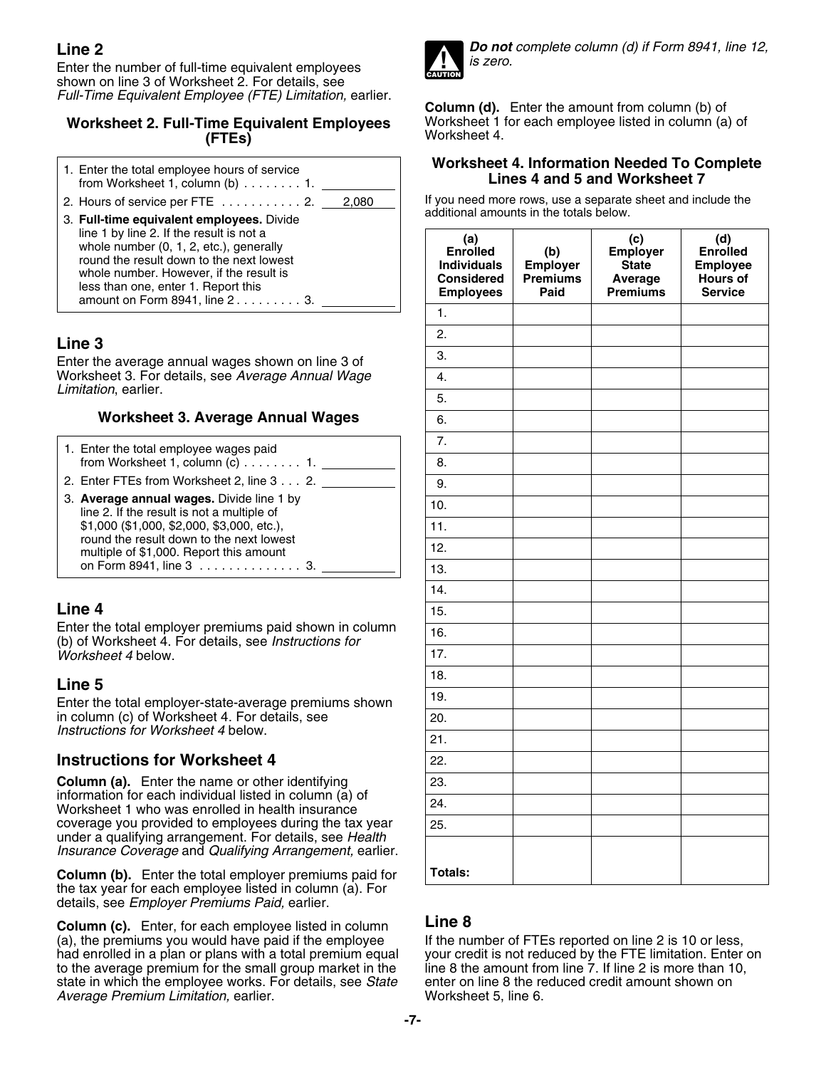Enter the number of full-time equivalent employees shown on line 3 of Worksheet 2. For details, see *Full-Time Equivalent Employee (FTE) Limitation,* earlier.

# **Worksheet 2. Full-Time Equivalent Employees** Worksheet 1 for each employee listed in column (a) of Worksheet 4.

| 1. Enter the total employee hours of service<br>from Worksheet 1, column (b) $\dots \dots$ 1.                                                                                                                                                                                                                            |  |
|--------------------------------------------------------------------------------------------------------------------------------------------------------------------------------------------------------------------------------------------------------------------------------------------------------------------------|--|
| 2. Hours of service per FTE $\ldots$ , ,  2. 2,080                                                                                                                                                                                                                                                                       |  |
| 3. Full-time equivalent employees. Divide<br>line 1 by line 2. If the result is not a<br>whole number (0, 1, 2, etc.), generally<br>round the result down to the next lowest<br>whole number. However, if the result is<br>less than one, enter 1. Report this<br>amount on Form 8941, line $2 \ldots \ldots \ldots 3$ . |  |

# 2. **Line 3**

Enter the average annual wages shown on line 3 of Worksheet 3. For details, see Average Annual Wage *Limitation*, earlier.

### **Worksheet 3. Average Annual Wages**

| 8.  |
|-----|
| 9.  |
| 10. |
|     |
| 11. |
| 12  |
|     |
| 13  |
|     |

# **Line 4.**

Enter the total employer premiums paid shown in column (b) of Worksheet 4. For details, see *Instructions for Worksheet 4* below.

# 18. **Line 5**

Enter the total employer-state-average premiums shown in column (c) of Worksheet 4. For details, see *Instructions for Worksheet 4 below.* 

# **Instructions for Worksheet 4**

**Column (a).** Enter the name or other identifying information for each individual listed in column (a) of Worksheet 1 who was enrolled in health insurance coverage you provided to employees during the tax year under a qualifying arrangement. For details, see *Health Insurance Coverage* and *Qualifying Arrangement,* earlier.

**Column (b).** Enter the total employer premiums paid for the tax year for each employee listed in column (a). For details, see *Employer Premiums Paid,* earlier.

**Column (c).** Enter, for each employee listed in column **Line 8**<br>(a), the premiums you would have paid if the employee If the number of FTEs reported on line 2 is 10 or less, (a), the premiums you would have paid if the employee If the number of FTEs reported on line 2 is 10 or less,<br>had enrolled in a plan or plans with a total premium equal your credit is not reduced by the FTE limitation. Ent had enrolled in a plan or plans with a total premium equal to the average premium for the small group market in the line 8 the amount from line 7. If line 2 is more than 10, state in which the employee works. For details, see *State* enter on line 8 the reduced credit amount shown on *Average Premium Limitation,* earlier. Worksheet 5, line 6.



**Line 2** *Do not complete column (d) if Form 8941, line 12,*<br> **Do not** *complete column (d) if Form 8941, line 12,* 

**Column (d).** Enter the amount from column (b) of **Worksheet 4.** 

### **Worksheet 4. Information Needed To Complete Lines 4 and 5 and Worksheet 7.**

If you need more rows, use a separate sheet and include the additional amounts in the totals below.

| line 1 by line 2. If the result is not a<br>whole number (0, 1, 2, etc.), generally<br>round the result down to the next lowest<br>whole number. However, if the result is<br>less than one, enter 1. Report this<br>amount on Form 8941, line $2 \ldots \ldots 3$ . | (a)<br><b>Enrolled</b><br><b>Individuals</b><br><b>Considered</b><br><b>Employees</b> | (b)<br><b>Employer</b><br><b>Premiums</b><br>Paid | (c)<br><b>Employer</b><br><b>State</b><br>Average<br><b>Premiums</b> | (d)<br><b>Enrolled</b><br><b>Employee</b><br><b>Hours of</b><br><b>Service</b> |
|----------------------------------------------------------------------------------------------------------------------------------------------------------------------------------------------------------------------------------------------------------------------|---------------------------------------------------------------------------------------|---------------------------------------------------|----------------------------------------------------------------------|--------------------------------------------------------------------------------|
|                                                                                                                                                                                                                                                                      | 1.                                                                                    |                                                   |                                                                      |                                                                                |
| e <sub>3</sub>                                                                                                                                                                                                                                                       | 2.                                                                                    |                                                   |                                                                      |                                                                                |
| er the average annual wages shown on line 3 of                                                                                                                                                                                                                       | 3.                                                                                    |                                                   |                                                                      |                                                                                |
| rksheet 3. For details, see Average Annual Wage<br><i>itation</i> , earlier.                                                                                                                                                                                         | 4.                                                                                    |                                                   |                                                                      |                                                                                |
|                                                                                                                                                                                                                                                                      | 5.                                                                                    |                                                   |                                                                      |                                                                                |
| <b>Worksheet 3. Average Annual Wages</b>                                                                                                                                                                                                                             | 6.                                                                                    |                                                   |                                                                      |                                                                                |
| Enter the total employee wages paid                                                                                                                                                                                                                                  | 7.                                                                                    |                                                   |                                                                      |                                                                                |
| from Worksheet 1, column $(c)$ 1. $\sqrt{1 + (c - 1)^2 + (d - 1)^2}$                                                                                                                                                                                                 | 8.                                                                                    |                                                   |                                                                      |                                                                                |
| Enter FTEs from Worksheet 2, line 3 2.                                                                                                                                                                                                                               | 9.                                                                                    |                                                   |                                                                      |                                                                                |
| Average annual wages. Divide line 1 by<br>line 2. If the result is not a multiple of                                                                                                                                                                                 | 10.                                                                                   |                                                   |                                                                      |                                                                                |
| \$1,000 (\$1,000, \$2,000, \$3,000, etc.),                                                                                                                                                                                                                           | 11.                                                                                   |                                                   |                                                                      |                                                                                |
| round the result down to the next lowest<br>multiple of \$1,000. Report this amount                                                                                                                                                                                  | 12.                                                                                   |                                                   |                                                                      |                                                                                |
| on Form 8941, line 3 3.                                                                                                                                                                                                                                              | 13.                                                                                   |                                                   |                                                                      |                                                                                |
|                                                                                                                                                                                                                                                                      | 14.                                                                                   |                                                   |                                                                      |                                                                                |
| e 4                                                                                                                                                                                                                                                                  | 15.                                                                                   |                                                   |                                                                      |                                                                                |
| er the total employer premiums paid shown in column<br>of Worksheet 4. For details, see Instructions for                                                                                                                                                             | 16.                                                                                   |                                                   |                                                                      |                                                                                |
| rksheet 4 below.                                                                                                                                                                                                                                                     | 17.                                                                                   |                                                   |                                                                      |                                                                                |
| e <sub>5</sub>                                                                                                                                                                                                                                                       | 18.                                                                                   |                                                   |                                                                      |                                                                                |
| er the total employer-state-average premiums shown                                                                                                                                                                                                                   | 19.                                                                                   |                                                   |                                                                      |                                                                                |
| olumn (c) of Worksheet 4. For details, see                                                                                                                                                                                                                           | 20.                                                                                   |                                                   |                                                                      |                                                                                |
| ructions for Worksheet 4 below.                                                                                                                                                                                                                                      | 21.                                                                                   |                                                   |                                                                      |                                                                                |
| tructions for Worksheet 4                                                                                                                                                                                                                                            | 22.                                                                                   |                                                   |                                                                      |                                                                                |
| <b>umn (a).</b> Enter the name or other identifying                                                                                                                                                                                                                  | 23.                                                                                   |                                                   |                                                                      |                                                                                |
| rmation for each individual listed in column (a) of<br>rksheet 1 who was enrolled in health insurance                                                                                                                                                                | 24.                                                                                   |                                                   |                                                                      |                                                                                |
| erage you provided to employees during the tax year                                                                                                                                                                                                                  | 25.                                                                                   |                                                   |                                                                      |                                                                                |
| er a qualifying arrangement. For details, see Health<br><i>irance Coverage</i> and Qualifying Arrangement, earlier.                                                                                                                                                  |                                                                                       |                                                   |                                                                      |                                                                                |
| <b>umn (b).</b> Enter the total emplover premiums paid for                                                                                                                                                                                                           | Totals:                                                                               |                                                   |                                                                      |                                                                                |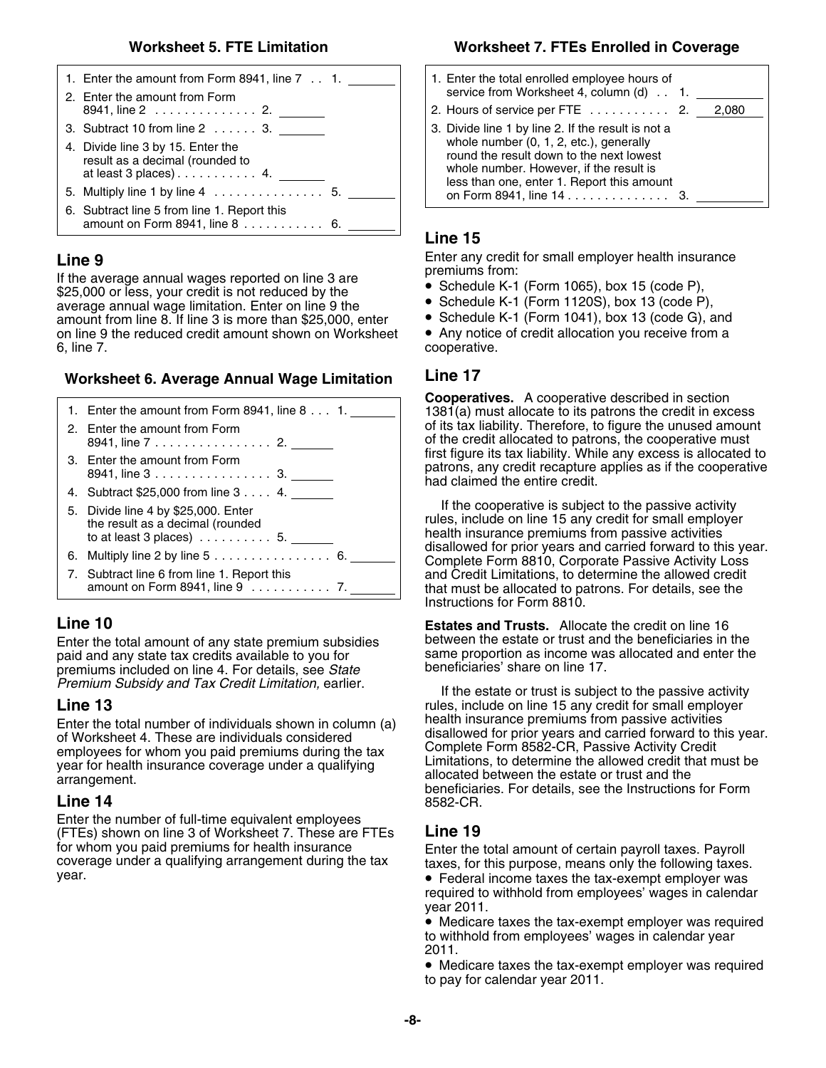| 1. Enter the amount from Form 8941, line 7 1.<br>2. Enter the amount from Form                        | 1. Enter the total enrolled employee hours of<br>service from Worksheet 4, column (d) 1.                                                                                     |
|-------------------------------------------------------------------------------------------------------|------------------------------------------------------------------------------------------------------------------------------------------------------------------------------|
| 8941, line 2 2.                                                                                       |                                                                                                                                                                              |
| 3. Subtract 10 from line 2  3.                                                                        | 3. Divide line 1 by line 2. If the result is not a                                                                                                                           |
| 4. Divide line 3 by 15. Enter the<br>result as a decimal (rounded to                                  | whole number (0, 1, 2, etc.), generally<br>round the result down to the next lowest<br>whole number. However, if the result is<br>less than one, enter 1. Report this amount |
| 5. Multiply line 1 by line 4 $\ldots \ldots \ldots \ldots$ 5.                                         | on Form 8941, line 14 3.                                                                                                                                                     |
| 6. Subtract line 5 from line 1. Report this<br>amount on Form 8941, line $8 \ldots \ldots \ldots 6$ . |                                                                                                                                                                              |

If the average annual wages reported on line 3 are  $\overline{a}$  becoming from:<br>\$25,000 or less your credit is not reduced by the  $\overline{a}$  Schedule K-1 (Form 1065), box 15 (code P), Schedule K-1 (Form 1065), box 15 (code P),<br>syerage annual wage limitation. Enter on line 9 the • • • • Schedule K-1 (Form 1120S), box 13 (code P), average annual wage limitation. Enter on line 9 the **Schedule K-1** (Form 1120S), box 13 (code P),<br>amount from line 8, If line 3 is more than \$25,000, enter **•** Schedule K-1 (Form 1041), box 13 (code G), and amount from line 8. If line 3 is more than \$25,000, enter • Schedule K-1 (Form 1041), box 13 (code G), and<br>on line 9 the reduced credit amount shown on Worksheet • Any notice of credit allocation you receive from a on line 9 the reduced credit amount shown on Worksheet 6, line 7. cooperative.

# **Worksheet 6. Average Annual Wage Limitation Line 17**



paid and any state tax credits available to you for same proportion as income was premiums included on line 4. For details, see State beneficiaries' share on line 17. premiums included on line 4. For details, see *State Premium Subsidy and Tax Credit Limitation*, earlier.

Enter the number of full-time equivalent employees (FTEs) shown on line 3 of Worksheet 7. These are FTEs **Line 19** for whom you paid premiums for health insurance<br>
coverage under a qualifying arrangement during the tax taxes, for this purpose, means only the following taxes.<br>
Federal income taxes the tax-exempt employer was year. •

## **Worksheet 5. FTE Limitation Worksheet 7. FTEs Enrolled in Coverage**

1. Enter the total enrolled employee hours of service from Worksheet 4, column (d) . . 1. 2. Hours of service per FTE  $\ldots$ ........... 2. 2,080 3. Divide line 1 by line 2. If the result is not a whole number  $(0, 1, 2, etc.),$  generally

# **Line 15**

**Line 9** Enter any credit for small employer health insurance<br> **Enter any credit for small employer health insurance**<br> **Enter any credit for small employer health insurance** 

- 
- 
- 

**Cooperatives.** A cooperative described in section 8941, line 7 of the credit allocated to patrons, the cooperative must ............... . 2.

> that must be allocated to patrons. For details, see the Instructions for Form 8810.

**Line 10 Estates and Trusts.** Allocate the credit on line 16 Enter the total amount of any state premium subsidies between the estate or trust and the beneficiaries in the<br>baid and any state tax credits available to you for same proportion as income was allocated and enter the

*Premium Subsidy and Tax Credit Limitation*, earlier.<br>If the estate or trust is subject to the passive activity<br>rules, include on line 15 any credit for small employer rules, include on line 15 any credit for small employer<br>health insurance premiums from passive activities Enter the total number of individuals shown in column (a)<br>of Worksheet 4. These are individuals considered<br>employees for whom you paid premiums during the tax<br>year for health insurance coverage under a qualifying<br>arrangeme **Line 14** 8582-CR.

 Federal income taxes the tax-exempt employer was required to withhold from employees' wages in calendar year 2011.

• Medicare taxes the tax-exempt employer was required to withhold from employees' wages in calendar year 2011.

• Medicare taxes the tax-exempt employer was required to pay for calendar year 2011.